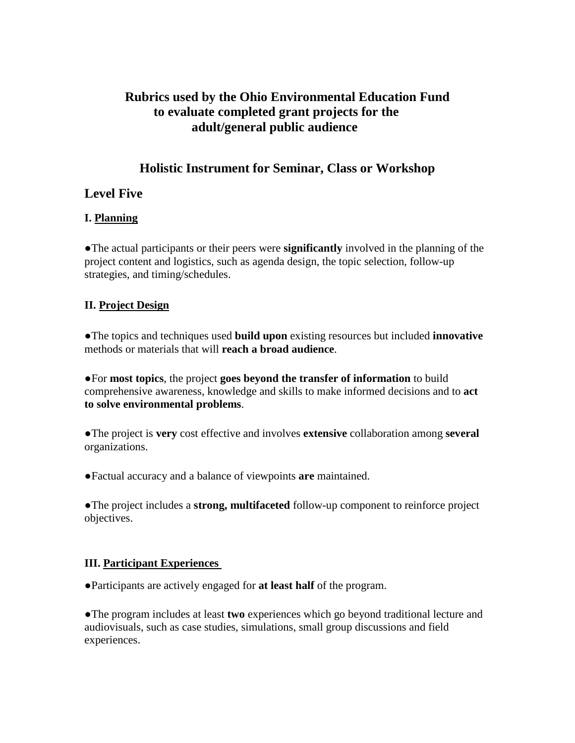# **Rubrics used by the Ohio Environmental Education Fund to evaluate completed grant projects for the adult/general public audience**

# **Holistic Instrument for Seminar, Class or Workshop**

# **Level Five**

## **I. Planning**

●The actual participants or their peers were **significantly** involved in the planning of the project content and logistics, such as agenda design, the topic selection, follow-up strategies, and timing/schedules.

## **II. Project Design**

●The topics and techniques used **build upon** existing resources but included **innovative** methods or materials that will **reach a broad audience**.

●For **most topics**, the project **goes beyond the transfer of information** to build comprehensive awareness, knowledge and skills to make informed decisions and to **act to solve environmental problems**.

●The project is **very** cost effective and involves **extensive** collaboration among **several** organizations.

●Factual accuracy and a balance of viewpoints **are** maintained.

●The project includes a **strong, multifaceted** follow-up component to reinforce project objectives.

## **III. Participant Experiences**

●Participants are actively engaged for **at least half** of the program.

●The program includes at least **two** experiences which go beyond traditional lecture and audiovisuals, such as case studies, simulations, small group discussions and field experiences.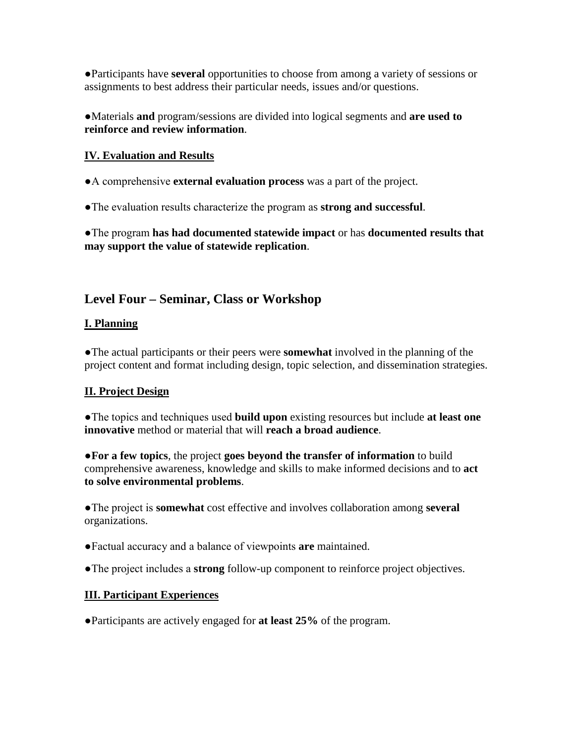●Participants have **several** opportunities to choose from among a variety of sessions or assignments to best address their particular needs, issues and/or questions.

●Materials **and** program/sessions are divided into logical segments and **are used to reinforce and review information**.

### **IV. Evaluation and Results**

●A comprehensive **external evaluation process** was a part of the project.

●The evaluation results characterize the program as **strong and successful**.

●The program **has had documented statewide impact** or has **documented results that may support the value of statewide replication**.

# **Level Four – Seminar, Class or Workshop**

### **I. Planning**

●The actual participants or their peers were **somewhat** involved in the planning of the project content and format including design, topic selection, and dissemination strategies.

## **II. Project Design**

●The topics and techniques used **build upon** existing resources but include **at least one innovative** method or material that will **reach a broad audience**.

●**For a few topics**, the project **goes beyond the transfer of information** to build comprehensive awareness, knowledge and skills to make informed decisions and to **act to solve environmental problems**.

●The project is **somewhat** cost effective and involves collaboration among **several**  organizations.

- ●Factual accuracy and a balance of viewpoints **are** maintained.
- ●The project includes a **strong** follow-up component to reinforce project objectives.

### **III. Participant Experiences**

●Participants are actively engaged for **at least 25%** of the program.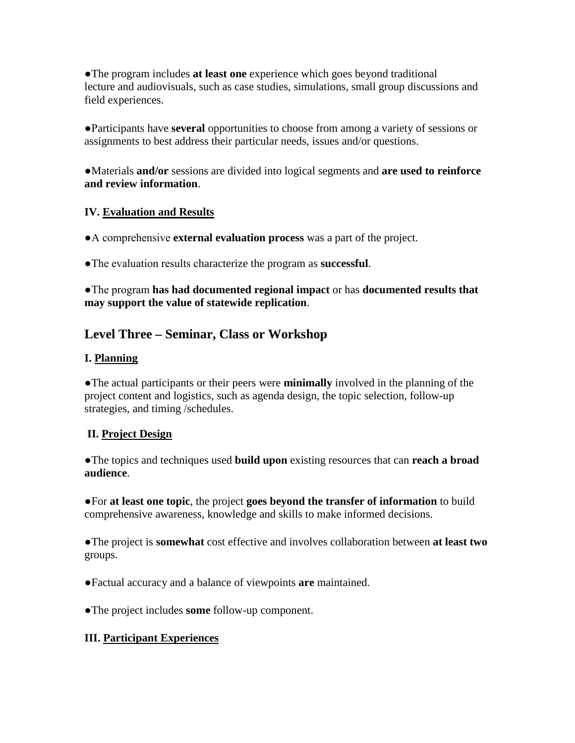●The program includes **at least one** experience which goes beyond traditional lecture and audiovisuals, such as case studies, simulations, small group discussions and field experiences.

●Participants have **several** opportunities to choose from among a variety of sessions or assignments to best address their particular needs, issues and/or questions.

●Materials **and/or** sessions are divided into logical segments and **are used to reinforce and review information**.

## **IV. Evaluation and Results**

●A comprehensive **external evaluation process** was a part of the project.

●The evaluation results characterize the program as **successful**.

●The program **has had documented regional impact** or has **documented results that may support the value of statewide replication**.

# **Level Three – Seminar, Class or Workshop**

# **I. Planning**

●The actual participants or their peers were **minimally** involved in the planning of the project content and logistics, such as agenda design, the topic selection, follow-up strategies, and timing /schedules.

# **II. Project Design**

●The topics and techniques used **build upon** existing resources that can **reach a broad audience**.

●For **at least one topic**, the project **goes beyond the transfer of information** to build comprehensive awareness, knowledge and skills to make informed decisions.

●The project is **somewhat** cost effective and involves collaboration between **at least two** groups.

●Factual accuracy and a balance of viewpoints **are** maintained.

●The project includes **some** follow-up component.

## **III. Participant Experiences**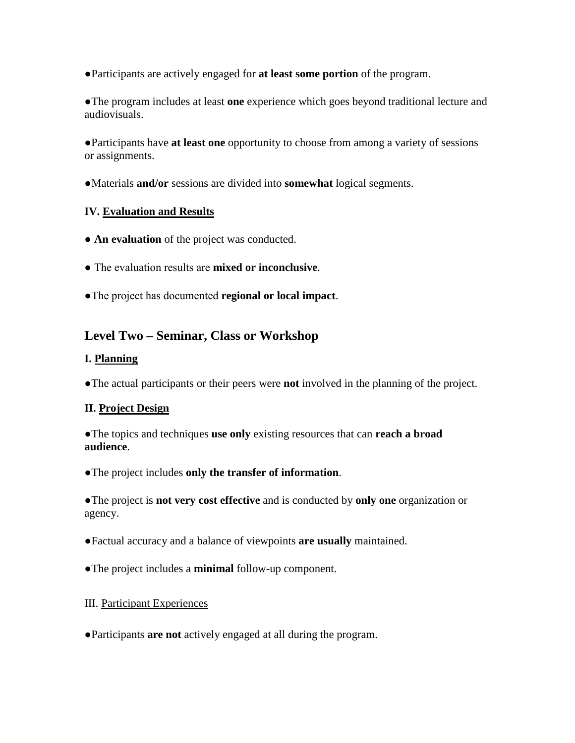●Participants are actively engaged for **at least some portion** of the program.

●The program includes at least **one** experience which goes beyond traditional lecture and audiovisuals.

●Participants have **at least one** opportunity to choose from among a variety of sessions or assignments.

●Materials **and/or** sessions are divided into **somewhat** logical segments.

### **IV. Evaluation and Results**

- **An evaluation** of the project was conducted.
- The evaluation results are **mixed or inconclusive**.
- ●The project has documented **regional or local impact**.

# **Level Two – Seminar, Class or Workshop**

### **I. Planning**

●The actual participants or their peers were **not** involved in the planning of the project.

### **II. Project Design**

●The topics and techniques **use only** existing resources that can **reach a broad audience**.

●The project includes **only the transfer of information**.

●The project is **not very cost effective** and is conducted by **only one** organization or agency.

- ●Factual accuracy and a balance of viewpoints **are usually** maintained.
- ●The project includes a **minimal** follow-up component.

### III. Participant Experiences

●Participants **are not** actively engaged at all during the program.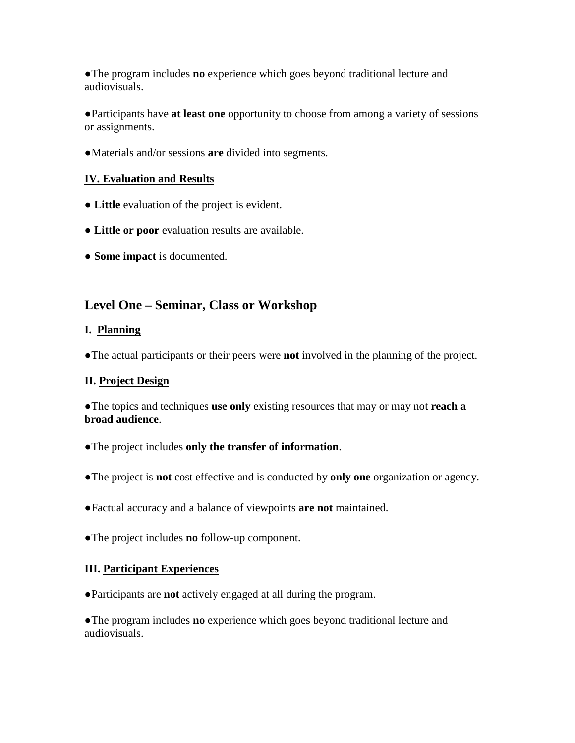●The program includes **no** experience which goes beyond traditional lecture and audiovisuals.

●Participants have **at least one** opportunity to choose from among a variety of sessions or assignments.

●Materials and/or sessions **are** divided into segments.

## **IV. Evaluation and Results**

- **Little** evaluation of the project is evident.
- **Little or poor** evaluation results are available.
- **Some impact** is documented.

# **Level One – Seminar, Class or Workshop**

### **I. Planning**

●The actual participants or their peers were **not** involved in the planning of the project.

### **II. Project Design**

●The topics and techniques **use only** existing resources that may or may not **reach a broad audience**.

- ●The project includes **only the transfer of information**.
- ●The project is **not** cost effective and is conducted by **only one** organization or agency.
- ●Factual accuracy and a balance of viewpoints **are not** maintained.
- ●The project includes **no** follow-up component.

### **III. Participant Experiences**

●Participants are **not** actively engaged at all during the program.

●The program includes **no** experience which goes beyond traditional lecture and audiovisuals.